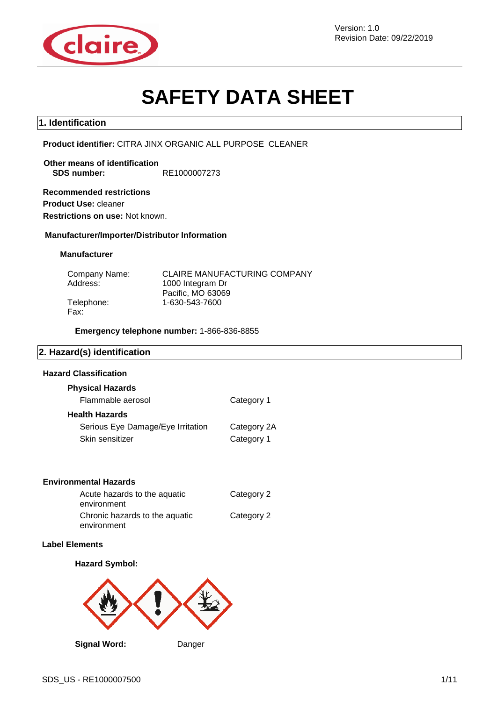

# **SAFETY DATA SHEET**

#### **1. Identification**

**Product identifier:** CITRA JINX ORGANIC ALL PURPOSE CLEANER

**Other means of identification SDS number:** RE1000007273

**Recommended restrictions Product Use:** cleaner **Restrictions on use:** Not known.

**Manufacturer/Importer/Distributor Information**

#### **Manufacturer**

| Company Name: | <b>CLAIRE MANUFACTURING COMPANY</b> |
|---------------|-------------------------------------|
| Address:      | 1000 Integram Dr                    |
|               | Pacific, MO 63069                   |
| Telephone:    | 1-630-543-7600                      |
| Fax:          |                                     |

**Emergency telephone number:** 1-866-836-8855

#### **2. Hazard(s) identification**

#### **Hazard Classification**

| <b>Physical Hazards</b>           |             |
|-----------------------------------|-------------|
| Flammable aerosol                 | Category 1  |
| Health Hazards                    |             |
| Serious Eye Damage/Eye Irritation | Category 2A |
| Skin sensitizer                   | Category 1  |

#### **Environmental Hazards**

| Acute hazards to the aquatic   | Category 2 |
|--------------------------------|------------|
| environment                    |            |
| Chronic hazards to the aquatic | Category 2 |
| environment                    |            |

#### **Label Elements**

#### **Hazard Symbol:**



**Signal Word:** Danger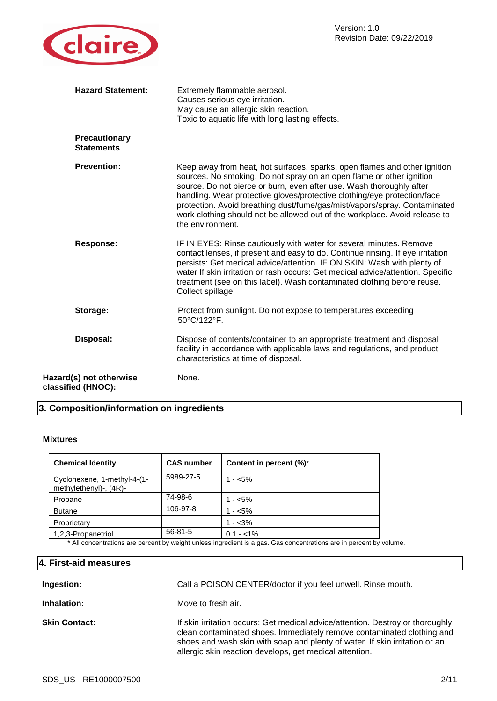

|                                               | <b>Hazard Statement:</b> | Extremely flammable aerosol.<br>Causes serious eye irritation.<br>May cause an allergic skin reaction.<br>Toxic to aquatic life with long lasting effects.                                                                                                                                                                                                                                                                                                                           |
|-----------------------------------------------|--------------------------|--------------------------------------------------------------------------------------------------------------------------------------------------------------------------------------------------------------------------------------------------------------------------------------------------------------------------------------------------------------------------------------------------------------------------------------------------------------------------------------|
| <b>Statements</b>                             | <b>Precautionary</b>     |                                                                                                                                                                                                                                                                                                                                                                                                                                                                                      |
| <b>Prevention:</b>                            |                          | Keep away from heat, hot surfaces, sparks, open flames and other ignition<br>sources. No smoking. Do not spray on an open flame or other ignition<br>source. Do not pierce or burn, even after use. Wash thoroughly after<br>handling. Wear protective gloves/protective clothing/eye protection/face<br>protection. Avoid breathing dust/fume/gas/mist/vapors/spray. Contaminated<br>work clothing should not be allowed out of the workplace. Avoid release to<br>the environment. |
| <b>Response:</b>                              |                          | IF IN EYES: Rinse cautiously with water for several minutes. Remove<br>contact lenses, if present and easy to do. Continue rinsing. If eye irritation<br>persists: Get medical advice/attention. IF ON SKIN: Wash with plenty of<br>water If skin irritation or rash occurs: Get medical advice/attention. Specific<br>treatment (see on this label). Wash contaminated clothing before reuse.<br>Collect spillage.                                                                  |
| Storage:                                      |                          | Protect from sunlight. Do not expose to temperatures exceeding<br>50°C/122°F.                                                                                                                                                                                                                                                                                                                                                                                                        |
| Disposal:                                     |                          | Dispose of contents/container to an appropriate treatment and disposal<br>facility in accordance with applicable laws and regulations, and product<br>characteristics at time of disposal.                                                                                                                                                                                                                                                                                           |
| Hazard(s) not otherwise<br>classified (HNOC): |                          | None.                                                                                                                                                                                                                                                                                                                                                                                                                                                                                |

# **3. Composition/information on ingredients**

#### **Mixtures**

| <b>Chemical Identity</b>                              | <b>CAS number</b> | Content in percent (%)* |
|-------------------------------------------------------|-------------------|-------------------------|
| Cyclohexene, 1-methyl-4-(1-<br>methylethenyl)-, (4R)- | 5989-27-5         | $1 - 5\%$               |
| Propane                                               | 74-98-6           | $1 - 5\%$               |
| <b>Butane</b>                                         | 106-97-8          | $1 - 5\%$               |
| Proprietary                                           |                   | $1 - 3\%$               |
| 1,2,3-Propanetriol                                    | $56 - 81 - 5$     | $0.1 - 1\%$             |

\* All concentrations are percent by weight unless ingredient is a gas. Gas concentrations are in percent by volume.

## **4. First-aid measures**

| Ingestion:           | Call a POISON CENTER/doctor if you feel unwell. Rinse mouth.                                                                                                                                                                                                                                       |
|----------------------|----------------------------------------------------------------------------------------------------------------------------------------------------------------------------------------------------------------------------------------------------------------------------------------------------|
| Inhalation:          | Move to fresh air.                                                                                                                                                                                                                                                                                 |
| <b>Skin Contact:</b> | If skin irritation occurs: Get medical advice/attention. Destroy or thoroughly<br>clean contaminated shoes. Immediately remove contaminated clothing and<br>shoes and wash skin with soap and plenty of water. If skin irritation or an<br>allergic skin reaction develops, get medical attention. |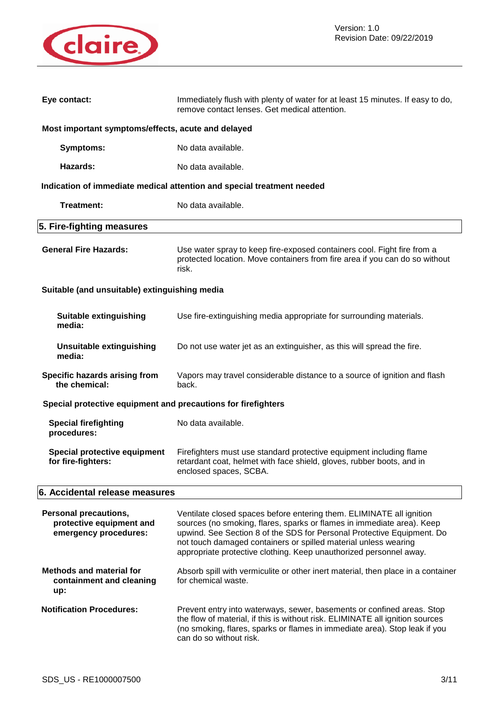

| Eye contact:                                                                      | Immediately flush with plenty of water for at least 15 minutes. If easy to do,<br>remove contact lenses. Get medical attention.                                                                                                                                                                                                                                   |  |  |
|-----------------------------------------------------------------------------------|-------------------------------------------------------------------------------------------------------------------------------------------------------------------------------------------------------------------------------------------------------------------------------------------------------------------------------------------------------------------|--|--|
| Most important symptoms/effects, acute and delayed                                |                                                                                                                                                                                                                                                                                                                                                                   |  |  |
| Symptoms:                                                                         | No data available.                                                                                                                                                                                                                                                                                                                                                |  |  |
| Hazards:                                                                          | No data available.                                                                                                                                                                                                                                                                                                                                                |  |  |
|                                                                                   | Indication of immediate medical attention and special treatment needed                                                                                                                                                                                                                                                                                            |  |  |
| Treatment:                                                                        | No data available.                                                                                                                                                                                                                                                                                                                                                |  |  |
| 5. Fire-fighting measures                                                         |                                                                                                                                                                                                                                                                                                                                                                   |  |  |
| <b>General Fire Hazards:</b>                                                      | Use water spray to keep fire-exposed containers cool. Fight fire from a<br>protected location. Move containers from fire area if you can do so without<br>risk.                                                                                                                                                                                                   |  |  |
| Suitable (and unsuitable) extinguishing media                                     |                                                                                                                                                                                                                                                                                                                                                                   |  |  |
| <b>Suitable extinguishing</b><br>media:                                           | Use fire-extinguishing media appropriate for surrounding materials.                                                                                                                                                                                                                                                                                               |  |  |
| <b>Unsuitable extinguishing</b><br>media:                                         | Do not use water jet as an extinguisher, as this will spread the fire.                                                                                                                                                                                                                                                                                            |  |  |
| Specific hazards arising from<br>the chemical:                                    | Vapors may travel considerable distance to a source of ignition and flash<br>back.                                                                                                                                                                                                                                                                                |  |  |
| Special protective equipment and precautions for firefighters                     |                                                                                                                                                                                                                                                                                                                                                                   |  |  |
| <b>Special firefighting</b><br>procedures:                                        | No data available.                                                                                                                                                                                                                                                                                                                                                |  |  |
| <b>Special protective equipment</b><br>for fire-fighters:                         | Firefighters must use standard protective equipment including flame<br>retardant coat, helmet with face shield, gloves, rubber boots, and in<br>enclosed spaces, SCBA.                                                                                                                                                                                            |  |  |
| 6. Accidental release measures                                                    |                                                                                                                                                                                                                                                                                                                                                                   |  |  |
| <b>Personal precautions,</b><br>protective equipment and<br>emergency procedures: | Ventilate closed spaces before entering them. ELIMINATE all ignition<br>sources (no smoking, flares, sparks or flames in immediate area). Keep<br>upwind. See Section 8 of the SDS for Personal Protective Equipment. Do<br>not touch damaged containers or spilled material unless wearing<br>appropriate protective clothing. Keep unauthorized personnel away. |  |  |
| <b>Methods and material for</b><br>containment and cleaning<br>up:                | Absorb spill with vermiculite or other inert material, then place in a container<br>for chemical waste.                                                                                                                                                                                                                                                           |  |  |
| <b>Notification Procedures:</b>                                                   | Prevent entry into waterways, sewer, basements or confined areas. Stop<br>the flow of material, if this is without risk. ELIMINATE all ignition sources<br>(no smoking, flares, sparks or flames in immediate area). Stop leak if you<br>can do so without risk.                                                                                                  |  |  |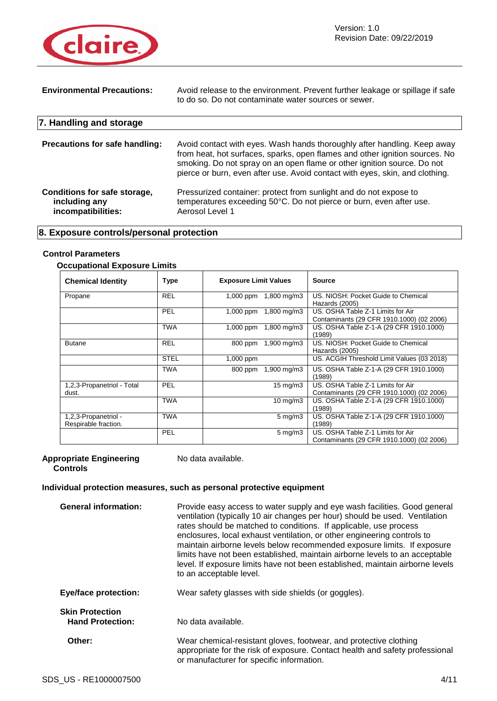

| <b>Environmental Precautions:</b>                                   | Avoid release to the environment. Prevent further leakage or spillage if safe<br>to do so. Do not contaminate water sources or sewer.                                                                                                                                                                              |
|---------------------------------------------------------------------|--------------------------------------------------------------------------------------------------------------------------------------------------------------------------------------------------------------------------------------------------------------------------------------------------------------------|
| 7. Handling and storage                                             |                                                                                                                                                                                                                                                                                                                    |
| Precautions for safe handling:                                      | Avoid contact with eyes. Wash hands thoroughly after handling. Keep away<br>from heat, hot surfaces, sparks, open flames and other ignition sources. No<br>smoking. Do not spray on an open flame or other ignition source. Do not<br>pierce or burn, even after use. Avoid contact with eyes, skin, and clothing. |
| Conditions for safe storage,<br>including any<br>incompatibilities: | Pressurized container: protect from sunlight and do not expose to<br>temperatures exceeding 50°C. Do not pierce or burn, even after use.<br>Aerosol Level 1                                                                                                                                                        |

## **8. Exposure controls/personal protection**

## **Control Parameters**

## **Occupational Exposure Limits**

| <b>Chemical Identity</b>                     | Type        | <b>Exposure Limit Values</b>           | <b>Source</b>                                                                  |
|----------------------------------------------|-------------|----------------------------------------|--------------------------------------------------------------------------------|
| Propane                                      | <b>REL</b>  | 1,000 ppm 1,800 mg/m3                  | US. NIOSH: Pocket Guide to Chemical<br>Hazards (2005)                          |
|                                              | PEL         | $1,800 \,\mathrm{mg/m}$<br>$1,000$ ppm | US. OSHA Table Z-1 Limits for Air<br>Contaminants (29 CFR 1910.1000) (02 2006) |
|                                              | <b>TWA</b>  | 1,800 mg/m3<br>$1,000$ ppm             | US. OSHA Table Z-1-A (29 CFR 1910.1000)<br>(1989)                              |
| <b>Butane</b>                                | <b>REL</b>  | 1,900 mg/m3<br>800 ppm                 | US. NIOSH: Pocket Guide to Chemical<br>Hazards (2005)                          |
|                                              | <b>STEL</b> | $1,000$ ppm                            | US. ACGIH Threshold Limit Values (03 2018)                                     |
|                                              | <b>TWA</b>  | $1,900 \,\mathrm{mg/m}$<br>800 ppm     | US. OSHA Table Z-1-A (29 CFR 1910.1000)<br>(1989)                              |
| 1,2,3-Propanetriol - Total<br>dust.          | PEL         | $15 \text{ mg/m}$                      | US. OSHA Table Z-1 Limits for Air<br>Contaminants (29 CFR 1910.1000) (02 2006) |
|                                              | <b>TWA</b>  | $10 \text{ mg/m}$                      | US. OSHA Table Z-1-A (29 CFR 1910.1000)<br>(1989)                              |
| 1,2,3-Propanetriol -<br>Respirable fraction. | <b>TWA</b>  | $5 \,\mathrm{mg/m}$                    | US. OSHA Table Z-1-A (29 CFR 1910.1000)<br>(1989)                              |
|                                              | PEL         | $5 \text{ mg/m}$                       | US. OSHA Table Z-1 Limits for Air<br>Contaminants (29 CFR 1910.1000) (02 2006) |

#### **Appropriate Engineering Controls**

No data available.

## **Individual protection measures, such as personal protective equipment**

| <b>General information:</b>                       | Provide easy access to water supply and eye wash facilities. Good general<br>ventilation (typically 10 air changes per hour) should be used. Ventilation<br>rates should be matched to conditions. If applicable, use process<br>enclosures, local exhaust ventilation, or other engineering controls to<br>maintain airborne levels below recommended exposure limits. If exposure<br>limits have not been established, maintain airborne levels to an acceptable<br>level. If exposure limits have not been established, maintain airborne levels<br>to an acceptable level. |
|---------------------------------------------------|--------------------------------------------------------------------------------------------------------------------------------------------------------------------------------------------------------------------------------------------------------------------------------------------------------------------------------------------------------------------------------------------------------------------------------------------------------------------------------------------------------------------------------------------------------------------------------|
| <b>Eye/face protection:</b>                       | Wear safety glasses with side shields (or goggles).                                                                                                                                                                                                                                                                                                                                                                                                                                                                                                                            |
| <b>Skin Protection</b><br><b>Hand Protection:</b> | No data available.                                                                                                                                                                                                                                                                                                                                                                                                                                                                                                                                                             |
| Other:                                            | Wear chemical-resistant gloves, footwear, and protective clothing<br>appropriate for the risk of exposure. Contact health and safety professional<br>or manufacturer for specific information.                                                                                                                                                                                                                                                                                                                                                                                 |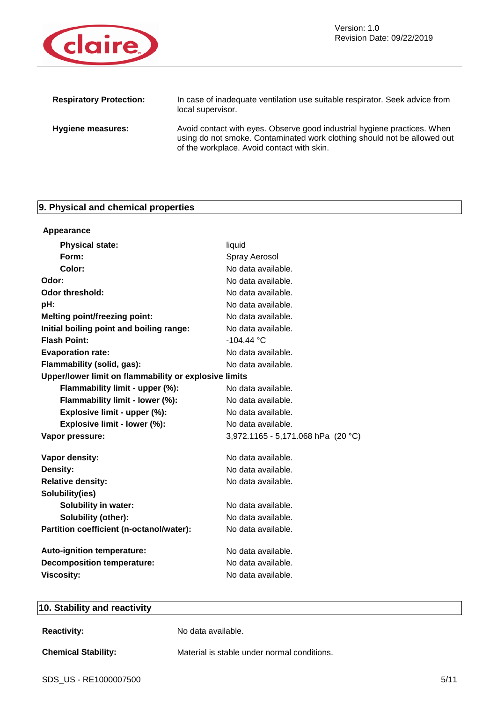

| <b>Respiratory Protection:</b> | In case of inadequate ventilation use suitable respirator. Seek advice from<br>local supervisor.                                                                                                   |
|--------------------------------|----------------------------------------------------------------------------------------------------------------------------------------------------------------------------------------------------|
| Hygiene measures:              | Avoid contact with eyes. Observe good industrial hygiene practices. When<br>using do not smoke. Contaminated work clothing should not be allowed out<br>of the workplace. Avoid contact with skin. |

# **9. Physical and chemical properties**

| Appearance                                            |                                    |
|-------------------------------------------------------|------------------------------------|
| <b>Physical state:</b>                                | liquid                             |
| Form:                                                 | Spray Aerosol                      |
| Color:                                                | No data available.                 |
| Odor:                                                 | No data available.                 |
| <b>Odor threshold:</b>                                | No data available.                 |
| pH:                                                   | No data available.                 |
| <b>Melting point/freezing point:</b>                  | No data available.                 |
| Initial boiling point and boiling range:              | No data available.                 |
| <b>Flash Point:</b>                                   | $-104.44 °C$                       |
| <b>Evaporation rate:</b>                              | No data available.                 |
| Flammability (solid, gas):                            | No data available.                 |
| Upper/lower limit on flammability or explosive limits |                                    |
| Flammability limit - upper (%):                       | No data available.                 |
| Flammability limit - lower (%):                       | No data available.                 |
| Explosive limit - upper (%):                          | No data available.                 |
| Explosive limit - lower (%):                          | No data available.                 |
| Vapor pressure:                                       | 3,972.1165 - 5,171.068 hPa (20 °C) |
| Vapor density:                                        | No data available.                 |
| Density:                                              | No data available.                 |
| <b>Relative density:</b>                              | No data available.                 |
| Solubility(ies)                                       |                                    |
| <b>Solubility in water:</b>                           | No data available.                 |
| Solubility (other):                                   | No data available.                 |
| Partition coefficient (n-octanol/water):              | No data available.                 |
| <b>Auto-ignition temperature:</b>                     | No data available.                 |
| <b>Decomposition temperature:</b>                     | No data available.                 |
| <b>Viscosity:</b>                                     | No data available.                 |
|                                                       |                                    |

## **10. Stability and reactivity**

| <b>Reactivity:</b> |  |
|--------------------|--|
|--------------------|--|

**Reactivity:** No data available.

**Chemical Stability:** Material is stable under normal conditions.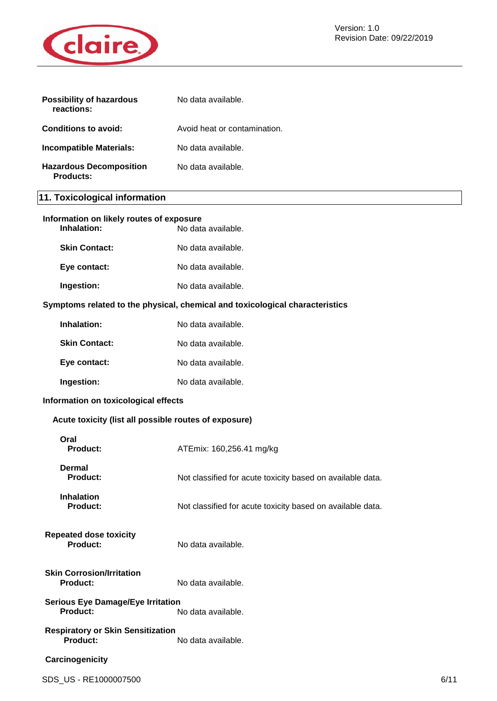

| <b>Possibility of hazardous</b><br>reactions: | No data available.           |
|-----------------------------------------------|------------------------------|
| Conditions to avoid:                          | Avoid heat or contamination. |
| Incompatible Materials:                       | No data available.           |
| <b>Hazardous Decomposition</b><br>Products:   | No data available.           |

# **11. Toxicological information**

| Information on likely routes of exposure<br>Inhalation:     | No data available.                                                           |      |
|-------------------------------------------------------------|------------------------------------------------------------------------------|------|
| <b>Skin Contact:</b>                                        | No data available.                                                           |      |
| Eye contact:                                                | No data available.                                                           |      |
| Ingestion:                                                  | No data available.                                                           |      |
|                                                             | Symptoms related to the physical, chemical and toxicological characteristics |      |
| Inhalation:                                                 | No data available.                                                           |      |
| <b>Skin Contact:</b>                                        | No data available.                                                           |      |
| Eye contact:                                                | No data available.                                                           |      |
| Ingestion:                                                  | No data available.                                                           |      |
| Information on toxicological effects                        |                                                                              |      |
| Acute toxicity (list all possible routes of exposure)       |                                                                              |      |
| Oral<br><b>Product:</b>                                     | ATEmix: 160,256.41 mg/kg                                                     |      |
| <b>Dermal</b><br><b>Product:</b>                            | Not classified for acute toxicity based on available data.                   |      |
| <b>Inhalation</b><br><b>Product:</b>                        | Not classified for acute toxicity based on available data.                   |      |
| <b>Repeated dose toxicity</b><br><b>Product:</b>            | No data available.                                                           |      |
| <b>Skin Corrosion/Irritation</b><br><b>Product:</b>         | No data available.                                                           |      |
| <b>Serious Eye Damage/Eye Irritation</b><br>Product:        | No data available.                                                           |      |
| <b>Respiratory or Skin Sensitization</b><br><b>Product:</b> | No data available.                                                           |      |
| Carcinogenicity                                             |                                                                              |      |
| SDS_US - RE1000007500                                       |                                                                              | 6/11 |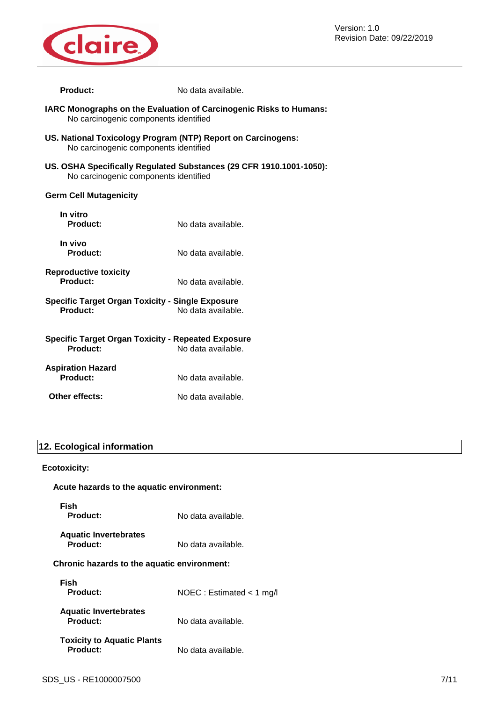

Version: 1.0 Revision Date: 09/22/2019

| <b>Product:</b>                                                                                       | No data available.                                                  |  |
|-------------------------------------------------------------------------------------------------------|---------------------------------------------------------------------|--|
| No carcinogenic components identified                                                                 | IARC Monographs on the Evaluation of Carcinogenic Risks to Humans:  |  |
| US. National Toxicology Program (NTP) Report on Carcinogens:<br>No carcinogenic components identified |                                                                     |  |
| No carcinogenic components identified                                                                 | US. OSHA Specifically Regulated Substances (29 CFR 1910.1001-1050): |  |
| <b>Germ Cell Mutagenicity</b>                                                                         |                                                                     |  |
| In vitro<br>Product:                                                                                  | No data available.                                                  |  |
| In vivo<br><b>Product:</b>                                                                            | No data available.                                                  |  |
| <b>Reproductive toxicity</b><br>Product:                                                              | No data available.                                                  |  |
| <b>Specific Target Organ Toxicity - Single Exposure</b><br>Product:                                   | No data available.                                                  |  |
| <b>Specific Target Organ Toxicity - Repeated Exposure</b><br>Product:<br>No data available.           |                                                                     |  |
| <b>Aspiration Hazard</b><br>Product:                                                                  | No data available.                                                  |  |
| Other effects:                                                                                        | No data available.                                                  |  |

## **12. Ecological information**

## **Ecotoxicity:**

| Acute hazards to the aquatic environment:            |                             |  |
|------------------------------------------------------|-----------------------------|--|
| Fish<br>Product:                                     | No data available.          |  |
| <b>Aquatic Invertebrates</b><br><b>Product:</b>      | No data available.          |  |
| Chronic hazards to the aquatic environment:          |                             |  |
| Fish<br>Product:                                     | NOEC : Estimated $<$ 1 mg/l |  |
| <b>Aquatic Invertebrates</b><br><b>Product:</b>      | No data available.          |  |
| <b>Toxicity to Aquatic Plants</b><br><b>Product:</b> | No data available.          |  |
|                                                      |                             |  |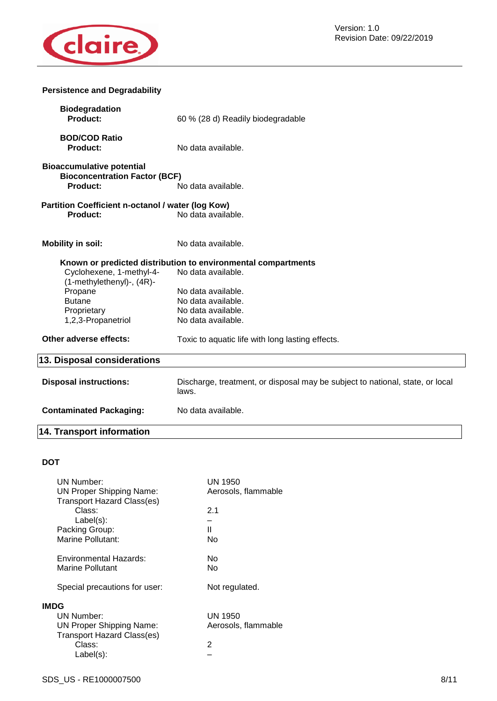

## **Persistence and Degradability**

| <b>Biodegradation</b><br>Product:                                                    | 60 % (28 d) Readily biodegradable                                                      |
|--------------------------------------------------------------------------------------|----------------------------------------------------------------------------------------|
| <b>BOD/COD Ratio</b><br><b>Product:</b>                                              | No data available.                                                                     |
|                                                                                      |                                                                                        |
| <b>Bioaccumulative potential</b><br><b>Bioconcentration Factor (BCF)</b><br>Product: | No data available.                                                                     |
|                                                                                      |                                                                                        |
| Partition Coefficient n-octanol / water (log Kow)<br><b>Product:</b>                 | No data available.                                                                     |
| <b>Mobility in soil:</b>                                                             | No data available.                                                                     |
|                                                                                      | Known or predicted distribution to environmental compartments                          |
| Cyclohexene, 1-methyl-4-<br>(1-methylethenyl)-, (4R)-                                | No data available.                                                                     |
| Propane                                                                              | No data available.                                                                     |
| <b>Butane</b>                                                                        | No data available.                                                                     |
| Proprietary                                                                          | No data available.                                                                     |
| 1,2,3-Propanetriol                                                                   | No data available.                                                                     |
| Other adverse effects:                                                               | Toxic to aquatic life with long lasting effects.                                       |
| 13. Disposal considerations                                                          |                                                                                        |
| <b>Disposal instructions:</b>                                                        | Discharge, treatment, or disposal may be subject to national, state, or local<br>laws. |
| <b>Contaminated Packaging:</b>                                                       | No data available.                                                                     |
| <b>14. Transport information</b>                                                     |                                                                                        |

## **DOT**

| <b>UN Number:</b><br><b>UN Proper Shipping Name:</b>                                              | UN 1950<br>Aerosols, flammable |
|---------------------------------------------------------------------------------------------------|--------------------------------|
| <b>Transport Hazard Class(es)</b><br>Class:<br>$Label(s)$ :                                       | 2.1                            |
| Packing Group:<br>Marine Pollutant:                                                               | Ш<br>No                        |
| Environmental Hazards:<br>Marine Pollutant                                                        | N٥<br>No                       |
| Special precautions for user:                                                                     | Not regulated.                 |
| <b>IMDG</b><br>UN Number:<br><b>UN Proper Shipping Name:</b><br><b>Transport Hazard Class(es)</b> | UN 1950<br>Aerosols, flammable |
| Class:<br>Label(s):                                                                               | 2                              |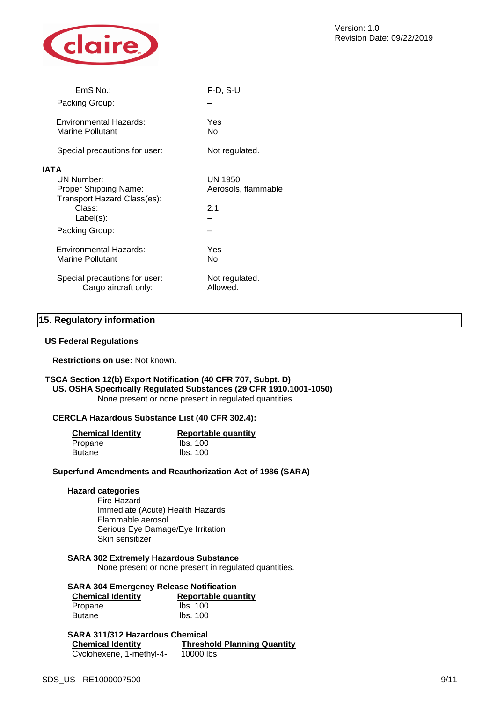

| $EmS$ No.:                                                                                                                    | $F-D, S-U$                            |
|-------------------------------------------------------------------------------------------------------------------------------|---------------------------------------|
| Packing Group:                                                                                                                |                                       |
| Environmental Hazards:<br>Marine Pollutant                                                                                    | Yes<br>N٥                             |
| Special precautions for user:                                                                                                 | Not regulated.                        |
| <b>IATA</b><br>UN Number:<br>Proper Shipping Name:<br>Transport Hazard Class(es):<br>Class:<br>$Label(s)$ :<br>Packing Group: | UN 1950<br>Aerosols, flammable<br>2.1 |
| Environmental Hazards:<br>Marine Pollutant                                                                                    | Yes<br>No                             |
| Special precautions for user:<br>Cargo aircraft only:                                                                         | Not regulated.<br>Allowed.            |
|                                                                                                                               |                                       |

#### **15. Regulatory information**

#### **US Federal Regulations**

**Restrictions on use:** Not known.

#### **TSCA Section 12(b) Export Notification (40 CFR 707, Subpt. D) US. OSHA Specifically Regulated Substances (29 CFR 1910.1001-1050)** None present or none present in regulated quantities.

#### **CERCLA Hazardous Substance List (40 CFR 302.4):**

| <b>Chemical Identity</b> | <b>Reportable quantity</b> |  |
|--------------------------|----------------------------|--|
| Propane                  | lbs. 100                   |  |
| Butane                   | lbs. 100                   |  |

#### **Superfund Amendments and Reauthorization Act of 1986 (SARA)**

#### **Hazard categories**

Fire Hazard Immediate (Acute) Health Hazards Flammable aerosol Serious Eye Damage/Eye Irritation Skin sensitizer

#### **SARA 302 Extremely Hazardous Substance**

None present or none present in regulated quantities.

#### **SARA 304 Emergency Release Notification**

| <b>Chemical Identity</b> | <b>Reportable quantity</b> |  |
|--------------------------|----------------------------|--|
| Propane                  | lbs. 100                   |  |
| Butane                   | lbs. 100                   |  |

#### **SARA 311/312 Hazardous Chemical**

| <b>Chemical Identity</b> | <b>Threshold Planning Quantity</b> |
|--------------------------|------------------------------------|
| Cyclohexene, 1-methyl-4- | 10000 lbs                          |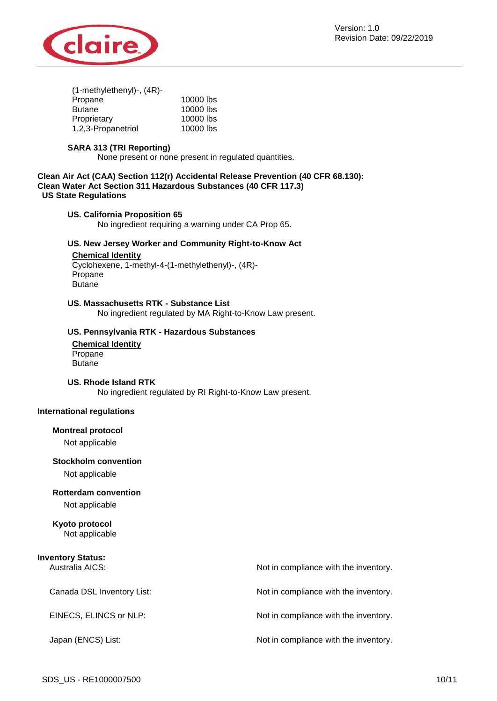

| $(1$ -methylethenyl $)$ -, $(4R)$ - |           |
|-------------------------------------|-----------|
| Propane                             | 10000 lbs |
| <b>Butane</b>                       | 10000 lbs |
| Proprietary                         | 10000 lbs |
| 1,2,3-Propanetriol                  | 10000 lbs |
|                                     |           |

#### **SARA 313 (TRI Reporting)**

None present or none present in regulated quantities.

**Clean Air Act (CAA) Section 112(r) Accidental Release Prevention (40 CFR 68.130): Clean Water Act Section 311 Hazardous Substances (40 CFR 117.3) US State Regulations**

#### **US. California Proposition 65**

No ingredient requiring a warning under CA Prop 65.

#### **US. New Jersey Worker and Community Right-to-Know Act**

## **Chemical Identity**

Cyclohexene, 1-methyl-4-(1-methylethenyl)-, (4R)- Propane **Butane** 

#### **US. Massachusetts RTK - Substance List**

No ingredient regulated by MA Right-to-Know Law present.

#### **US. Pennsylvania RTK - Hazardous Substances**

**Chemical Identity** Propane **Butane** 

#### **US. Rhode Island RTK**

No ingredient regulated by RI Right-to-Know Law present.

#### **International regulations**

#### **Montreal protocol**

Not applicable

#### **Stockholm convention**

Not applicable

#### **Rotterdam convention**

Not applicable

# **Kyoto protocol**

Not applicable

| <b>Inventory Status:</b><br>Australia AICS: | Not in compliance with the inventory. |
|---------------------------------------------|---------------------------------------|
| Canada DSL Inventory List:                  | Not in compliance with the inventory. |
| EINECS, ELINCS or NLP:                      | Not in compliance with the inventory. |
| Japan (ENCS) List:                          | Not in compliance with the inventory. |